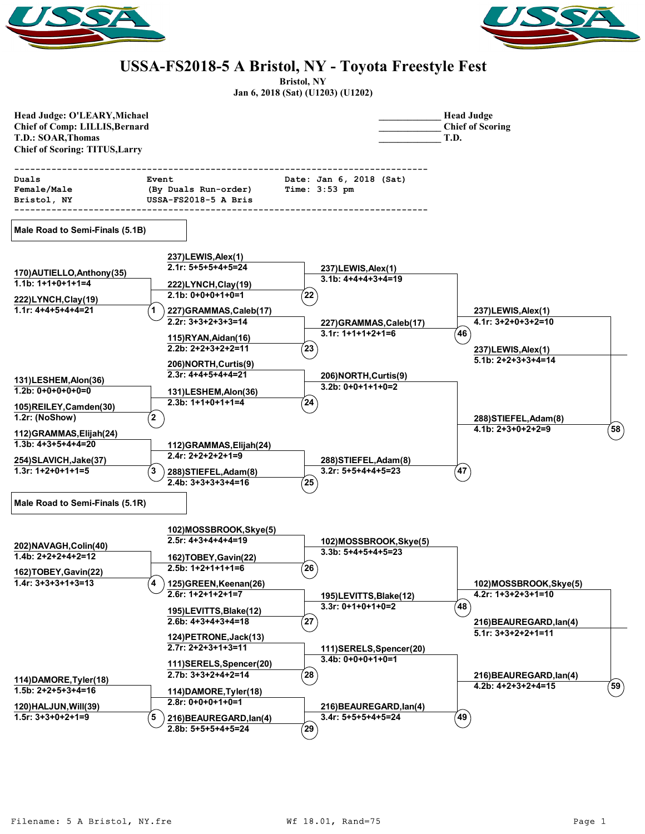



## **USSA-FS2018-5 A Bristol, NY - Toyota Freestyle Fest**

**Bristol, NY**

|  | Jan 6, 2018 (Sat) (U1203) (U1202) |
|--|-----------------------------------|
|--|-----------------------------------|

| Head Judge: O'LEARY, Michael<br><b>Chief of Comp: LILLIS, Bernard</b><br><b>T.D.: SOAR, Thomas</b><br><b>Chief of Scoring: TITUS, Larry</b> |                                                                       |                                                                            | <b>Head Judge</b><br><b>Chief of Scoring</b><br>T.D.                      |
|---------------------------------------------------------------------------------------------------------------------------------------------|-----------------------------------------------------------------------|----------------------------------------------------------------------------|---------------------------------------------------------------------------|
| Duals<br>Female/Male<br>Bristol, NY                                                                                                         | Event<br>(By Duals Run-order)<br>USSA-FS2018-5 A Bris                 | ----------------------------<br>Date: Jan 6, 2018 (Sat)<br>Time: $3:53$ pm |                                                                           |
| Male Road to Semi-Finals (5.1B)                                                                                                             |                                                                       |                                                                            |                                                                           |
| 170) AUTIELLO, Anthony (35)                                                                                                                 | 237)LEWIS, Alex (1)<br>$2.1r: 5+5+5+4+5=24$                           | 237)LEWIS, Alex(1)<br>$3.1b: 4+4+4+3+4=19$                                 |                                                                           |
| $1.1b: 1+1+0+1+1=4$<br>222)LYNCH,Clay(19)                                                                                                   | 222)LYNCH, Clay (19)<br>$2.1b: 0+0+0+1+0=1$                           | 22                                                                         |                                                                           |
| $1.1r: 4+4+5+4+4=21$                                                                                                                        | 227)GRAMMAS,Caleb(17)<br>$2.2r: 3+3+2+3+3=14$<br>115)RYAN, Aidan(16)  | 227)GRAMMAS,Caleb(17)<br>$3.1r: 1+1+1+2+1=6$                               | 237)LEWIS, Alex (1)<br>$4.1r: 3+2+0+3+2=10$<br>$^{\prime}$ 46 $^{\prime}$ |
|                                                                                                                                             | $2.2b: 2+2+3+2+2=11$<br>206) NORTH, Curtis(9)<br>$2.3r: 4+4+5+4+4=21$ | 23                                                                         | 237)LEWIS, Alex (1)<br>$5.1b: 2+2+3+3+4=14$                               |
| 131)LESHEM, Alon(36)<br>$1.2b: 0+0+0+0+0=0$                                                                                                 | 131)LESHEM, Alon(36)<br>$2.3b: 1+1+0+1+1=4$                           | 206) NORTH, Curtis(9)<br>$3.2b: 0+0+1+1+0=2$<br>(24)                       |                                                                           |
| 105)REILEY, Camden(30)<br>1.2r: (NoShow)<br>112)GRAMMAS, Elijah(24)                                                                         | $\mathbf{2}$                                                          |                                                                            | 288) STIEFEL, Adam(8)<br>$4.1b: 2+3+0+2+2=9$<br>(58)                      |
| $1.3b: 4+3+5+4+4=20$<br>254) SLAVICH, Jake (37)                                                                                             | 112) GRAMMAS, Elijah (24)<br>$2.4r: 2+2+2+2+1=9$                      | 288) STIEFEL, Adam (8)                                                     |                                                                           |
| $1.3r: 1+2+0+1+1=5$                                                                                                                         | 3<br>288) STIEFEL, Adam(8)<br>$2.4b: 3+3+3+3+4=16$                    | 3.2r: 5+5+4+4+5=23<br>$^{7}$ 25 $^{7}$                                     | 47                                                                        |
| Male Road to Semi-Finals (5.1R)                                                                                                             |                                                                       |                                                                            |                                                                           |
| 202) NAVAGH, Colin(40)                                                                                                                      | 102)MOSSBROOK, Skye(5)<br>$2.5r: 4+3+4+4+4=19$                        | 102)MOSSBROOK, Skye(5)                                                     |                                                                           |
| $1.4b: 2+2+2+4+2=12$<br>162)TOBEY, Gavin(22)                                                                                                | 162)TOBEY, Gavin(22)<br>$2.5b: 1+2+1+1+1=6$                           | $3.3b: 5+4+5+4+5=23$<br>້ 26ີ                                              |                                                                           |
| $1.4r: 3+3+3+1+3=13$                                                                                                                        | 125)GREEN, Keenan(26)<br>4<br>$2.6r: 1+2+1+2+1=7$                     | 195)LEVITTS, Blake(12)                                                     | 102)MOSSBROOK, Skye(5)<br>$4.2r: 1+3+2+3+1=10$                            |
|                                                                                                                                             | 195)LEVITTS, Blake(12)<br>$2.6b: 4+3+4+3+4=18$                        | $3.3r: 0+1+0+1+0=2$<br>(27)                                                | $^{'}48$<br>216) BEAUREGARD, lan(4)                                       |
|                                                                                                                                             | 124) PETRONE, Jack (13)<br>$2.7r: 2+2+3+1+3=11$                       | 111)SERELS, Spencer(20)                                                    | $5.1r: 3+3+2+2+1=11$                                                      |
| 114) DAMORE, Tyler(18)                                                                                                                      | 111)SERELS, Spencer(20)<br>$2.7b: 3+3+2+4+2=14$                       | $3.4b: 0+0+0+1+0=1$<br>$({\bf 28})$                                        | 216) BEAUREGARD, lan(4)                                                   |
| $1.5b: 2+2+5+3+4=16$                                                                                                                        | 114) DAMORE, Tyler(18)<br>$2.8r: 0+0+0+1+0=1$                         |                                                                            | $($ 59 $)$<br>4.2b: 4+2+3+2+4=15                                          |
| 120) HALJUN, Will(39)<br>$1.5r: 3+3+0+2+1=9$                                                                                                | 5<br>216) BEAUREGARD, lan(4)<br>2.8b: 5+5+5+4+5=24                    | 216) BEAUREGARD, lan(4)<br>$3.4r: 5+5+5+4+5=24$<br>້ 29ີ                   | $^{\prime}$ 49 $^{\prime}$                                                |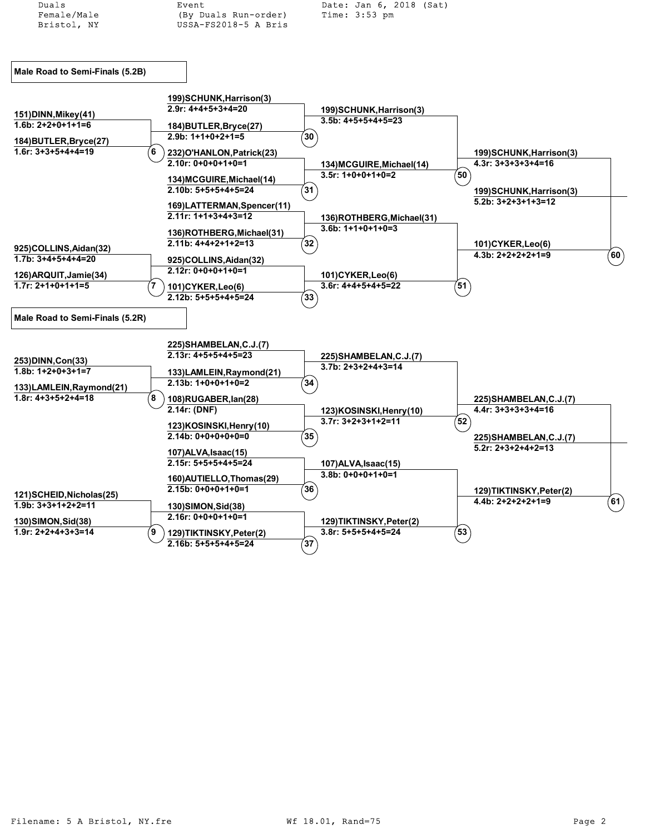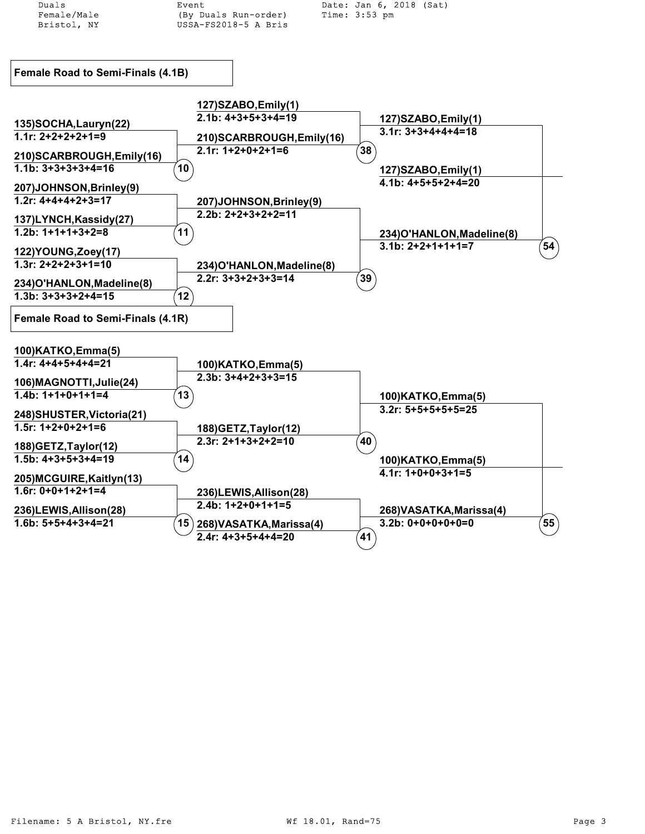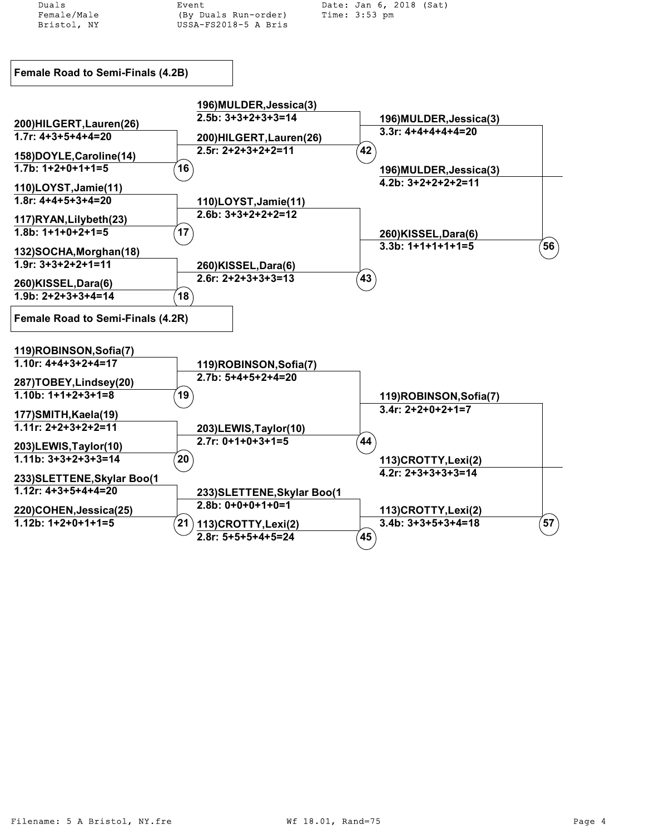